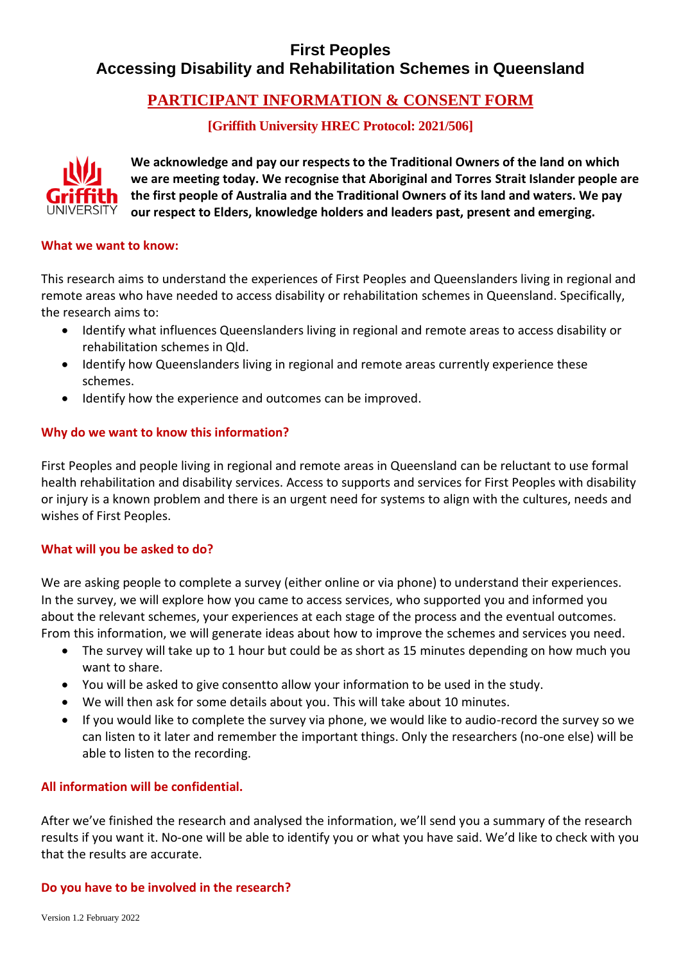# **First Peoples Accessing Disability and Rehabilitation Schemes in Queensland**

# **PARTICIPANT INFORMATION & CONSENT FORM**

# **[Griffith University HREC Protocol: 2021/506]**



**We acknowledge and pay our respects to the Traditional Owners of the land on which we are meeting today. We recognise that Aboriginal and Torres Strait Islander people are the first people of Australia and the Traditional Owners of its land and waters. We pay our respect to Elders, knowledge holders and leaders past, present and emerging.**

#### **What we want to know:**

This research aims to understand the experiences of First Peoples and Queenslanders living in regional and remote areas who have needed to access disability or rehabilitation schemes in Queensland. Specifically, the research aims to:

- Identify what influences Queenslanders living in regional and remote areas to access disability or rehabilitation schemes in Qld.
- Identify how Queenslanders living in regional and remote areas currently experience these schemes.
- Identify how the experience and outcomes can be improved.

## **Why do we want to know this information?**

First Peoples and people living in regional and remote areas in Queensland can be reluctant to use formal health rehabilitation and disability services. Access to supports and services for First Peoples with disability or injury is a known problem and there is an urgent need for systems to align with the cultures, needs and wishes of First Peoples.

## **What will you be asked to do?**

We are asking people to complete a survey (either online or via phone) to understand their experiences. In the survey, we will explore how you came to access services, who supported you and informed you about the relevant schemes, your experiences at each stage of the process and the eventual outcomes. From this information, we will generate ideas about how to improve the schemes and services you need.

- The survey will take up to 1 hour but could be as short as 15 minutes depending on how much you want to share.
- You will be asked to give consentto allow your information to be used in the study.
- We will then ask for some details about you. This will take about 10 minutes.
- If you would like to complete the survey via phone, we would like to audio-record the survey so we can listen to it later and remember the important things. Only the researchers (no-one else) will be able to listen to the recording.

## **All information will be confidential.**

After we've finished the research and analysed the information, we'll send you a summary of the research results if you want it. No-one will be able to identify you or what you have said. We'd like to check with you that the results are accurate.

## **Do you have to be involved in the research?**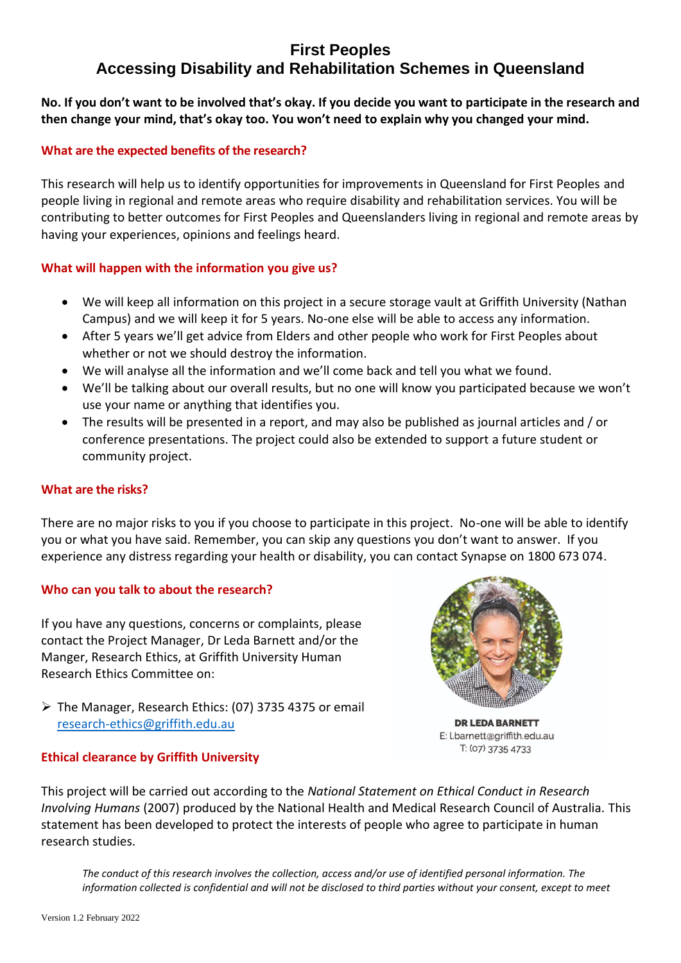# **First Peoples Accessing Disability and Rehabilitation Schemes in Queensland**

**No. If you don't want to be involved that's okay. If you decide you want to participate in the research and then change your mind, that's okay too. You won't need to explain why you changed your mind.** 

# **What are the expected benefits of the research?**

This research will help us to identify opportunities for improvements in Queensland for First Peoples and people living in regional and remote areas who require disability and rehabilitation services. You will be contributing to better outcomes for First Peoples and Queenslanders living in regional and remote areas by having your experiences, opinions and feelings heard.

# **What will happen with the information you give us?**

- We will keep all information on this project in a secure storage vault at Griffith University (Nathan Campus) and we will keep it for 5 years. No-one else will be able to access any information.
- After 5 years we'll get advice from Elders and other people who work for First Peoples about whether or not we should destroy the information.
- We will analyse all the information and we'll come back and tell you what we found.
- We'll be talking about our overall results, but no one will know you participated because we won't use your name or anything that identifies you.
- The results will be presented in a report, and may also be published as journal articles and / or conference presentations. The project could also be extended to support a future student or community project.

## **What are the risks?**

There are no major risks to you if you choose to participate in this project. No-one will be able to identify you or what you have said. Remember, you can skip any questions you don't want to answer. If you experience any distress regarding your health or disability, you can contact Synapse on 1800 673 074.

## **Who can you talk to about the research?**

If you have any questions, concerns or complaints, please contact the Project Manager, Dr Leda Barnett and/or the Manger, Research Ethics, at Griffith University Human Research Ethics Committee on:

➢ The Manager, Research Ethics: (07) 3735 4375 or email [research-ethics@griffith.edu.au](mailto:research-ethics@griffith.edu.au)



**DR LEDA BARNETT** E: l.barnett@griffith.edu.au T: (07) 3735 4733

## **Ethical clearance by Griffith University**

This project will be carried out according to the *National Statement on Ethical Conduct in Research Involving Humans* (2007) produced by the National Health and Medical Research Council of Australia. This statement has been developed to protect the interests of people who agree to participate in human research studies.

*The conduct of this research involves the collection, access and/or use of identified personal information. The information collected is confidential and will not be disclosed to third parties without your consent, except to meet*